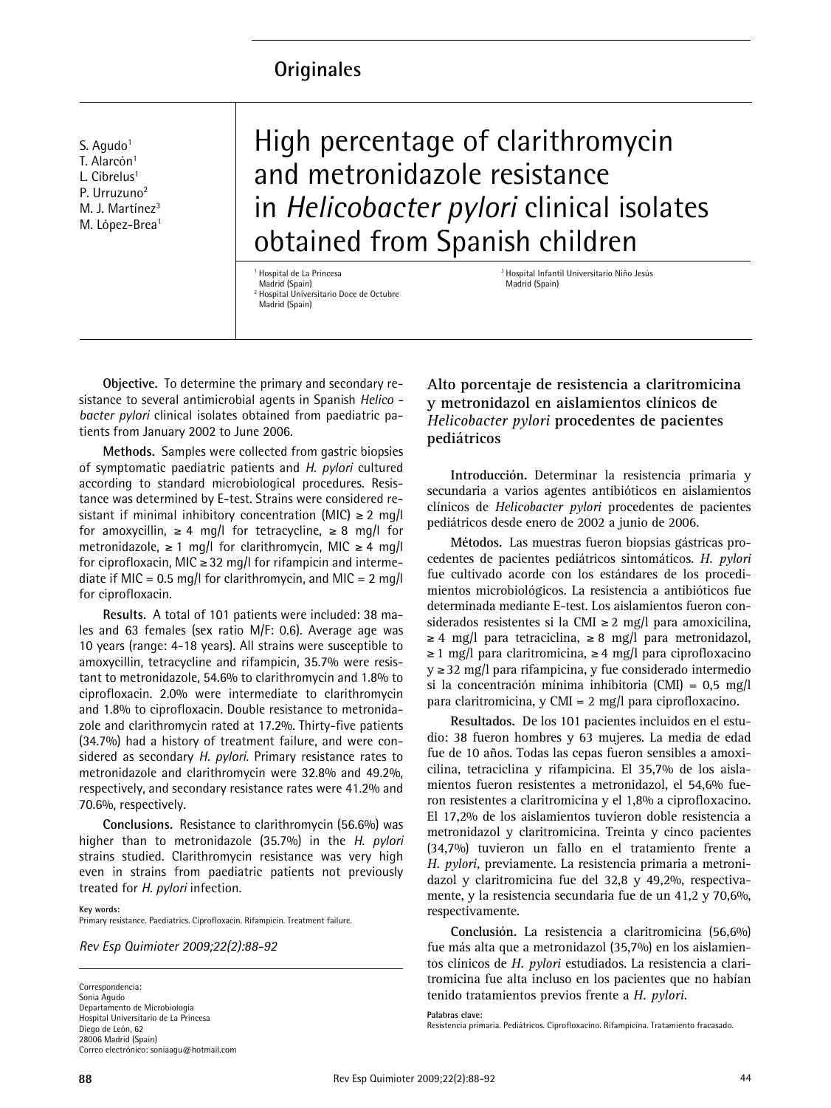# **Originales**

S. Agudo $1$ T. Alarcón<sup>1</sup> L. Cibrelus<sup>1</sup> P. Urruzuno<sup>2</sup> M. J. Martínez<sup>3</sup> M. López-Brea<sup>1</sup>

High percentage of clarithromycin and metronidazole resistance in *Helicobacter pylori* clinical isolates obtained from Spanish children

<sup>1</sup> Hospital de La Princesa Madrid (Spain) <sup>2</sup> Hospital Universitario Doce de Octubre Madrid (Spain)

<sup>3</sup> Hospital Infantil Universitario Niño Jesús Madrid (Spain)

**Objective.** To determine the primary and secondary resistance to several antimicrobial agents in Spanish *Helico bacter pylori* clinical isolates obtained from paediatric patients from January 2002 to June 2006.

**Methods.** Samples were collected from gastric biopsies of symptomatic paediatric patients and *H. pylori* cultured according to standard microbiological procedures. Resistance was determined by E-test. Strains were considered resistant if minimal inhibitory concentration (MIC)  $\geq 2$  mg/l for amoxycillin,  $\geq 4$  mg/l for tetracycline,  $\geq 8$  mg/l for metronidazole, ≥ 1 mg/l for clarithromycin, MIC ≥ 4 mg/l for ciprofloxacin, MIC ≥ 32 mg/l for rifampicin and intermediate if MIC = 0.5 mg/l for clarithromycin, and MIC = 2 mg/l for ciprofloxacin.

**Results.** A total of 101 patients were included: 38 males and 63 females (sex ratio M/F: 0.6). Average age was 10 years (range: 4-18 years). All strains were susceptible to amoxycillin, tetracycline and rifampicin, 35.7% were resistant to metronidazole, 54.6% to clarithromycin and 1.8% to ciprofloxacin. 2.0% were intermediate to clarithromycin and 1.8% to ciprofloxacin. Double resistance to metronidazole and clarithromycin rated at 17.2%. Thirty-five patients (34.7%) had a history of treatment failure, and were considered as secondary *H. pylori.* Primary resistance rates to metronidazole and clarithromycin were 32.8% and 49.2%, respectively, and secondary resistance rates were 41.2% and 70.6%, respectively.

**Conclusions.** Resistance to clarithromycin (56.6%) was higher than to metronidazole (35.7%) in the *H. pylori* strains studied. Clarithromycin resistance was very high even in strains from paediatric patients not previously treated for *H. pylori* infection.

**Key words:** Primary resistance. Paediatrics. Ciprofloxacin. Rifampicin. Treatment failure.

*Rev Esp Quimioter 2009;22(2):88-92*

Correspondencia: Sonia Agudo Departamento de Microbiología Hospital Universitario de La Princesa Diego de León, 62 28006 Madrid (Spain) Correo electrónico: soniaagu@hotmail.com **Alto porcentaje de resistencia a claritromicina y metronidazol en aislamientos clínicos de** *Helicobacter pylori* **procedentes de pacientes pediátricos**

**Introducción.** Determinar la resistencia primaria y secundaria a varios agentes antibióticos en aislamientos clínicos de *Helicobacter pylori* procedentes de pacientes pediátricos desde enero de 2002 a junio de 2006.

**Métodos.** Las muestras fueron biopsias gástricas procedentes de pacientes pediátricos sintomáticos. *H. pylori* fue cultivado acorde con los estándares de los procedimientos microbiológicos. La resistencia a antibióticos fue determinada mediante E-test. Los aislamientos fueron considerados resistentes si la CMI ≥ 2 mg/l para amoxicilina,  $\geq 4$  mg/l para tetraciclina,  $\geq 8$  mg/l para metronidazol, ≥ 1 mg/l para claritromicina, ≥ 4 mg/l para ciprofloxacino y ≥32 mg/l para rifampicina, y fue considerado intermedio si la concentración mínima inhibitoria (CMI) = 0,5 mg/l para claritromicina, y CMI = 2 mg/l para ciprofloxacino.

**Resultados.** De los 101 pacientes incluidos en el estudio: 38 fueron hombres y 63 mujeres. La media de edad fue de 10 años. Todas las cepas fueron sensibles a amoxicilina, tetraciclina y rifampicina. El 35,7% de los aislamientos fueron resistentes a metronidazol, el 54,6% fueron resistentes a claritromicina y el 1,8% a ciprofloxacino. El 17,2% de los aislamientos tuvieron doble resistencia a metronidazol y claritromicina. Treinta y cinco pacientes (34,7%) tuvieron un fallo en el tratamiento frente a *H. pylori,* previamente. La resistencia primaria a metronidazol y claritromicina fue del 32,8 y 49,2%, respectivamente, y la resistencia secundaria fue de un 41,2 y 70,6%, respectivamente.

**Conclusión.** La resistencia a claritromicina (56,6%) fue más alta que a metronidazol (35,7%) en los aislamientos clínicos de *H. pylori* estudiados. La resistencia a claritromicina fue alta incluso en los pacientes que no habían tenido tratamientos previos frente a *H. pylori.*

**Palabras clave:**

Resistencia primaria. Pediátricos. Ciprofloxacino. Rifampicina. Tratamiento fracasado.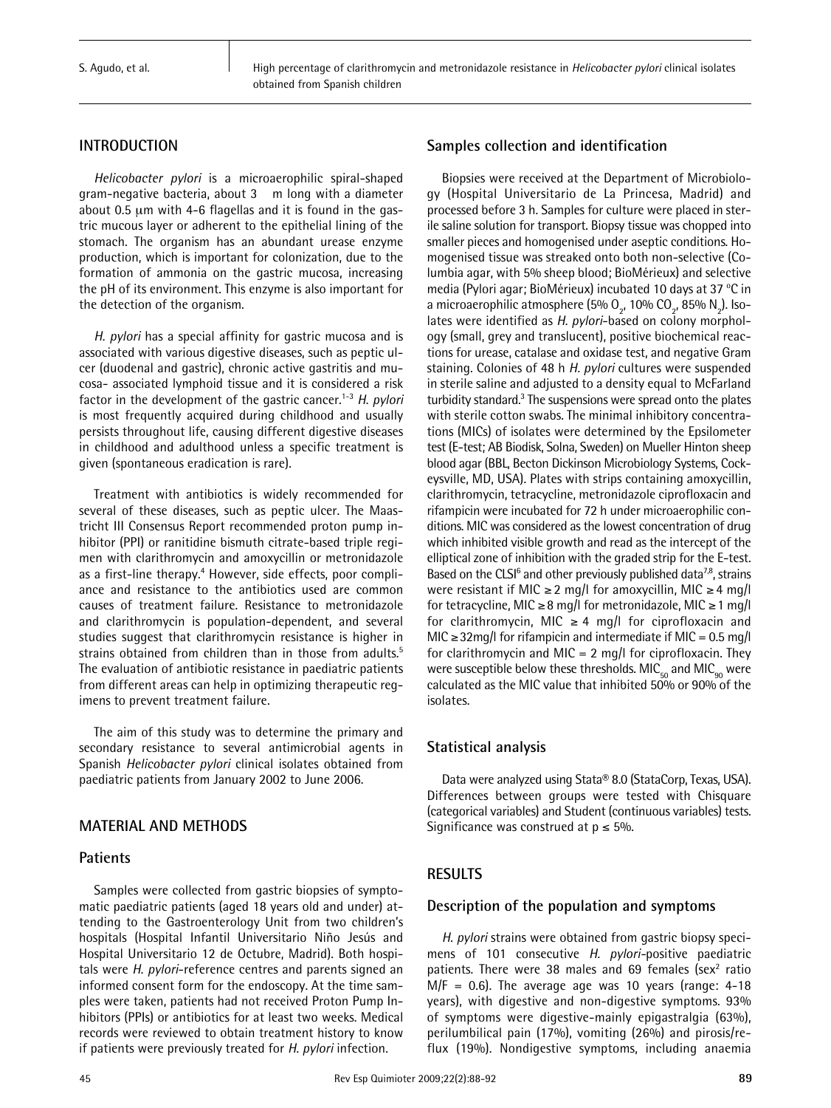## **INTRODUCTION**

*Helicobacter pylori* is a microaerophilic spiral-shaped gram-negative bacteria, about 3 m long with a diameter about 0.5 µm with 4-6 flagellas and it is found in the gastric mucous layer or adherent to the epithelial lining of the stomach. The organism has an abundant urease enzyme production, which is important for colonization, due to the formation of ammonia on the gastric mucosa, increasing the pH of its environment. This enzyme is also important for the detection of the organism.

*H. pylori* has a special affinity for gastric mucosa and is associated with various digestive diseases, such as peptic ulcer (duodenal and gastric), chronic active gastritis and mucosa- associated lymphoid tissue and it is considered a risk factor in the development of the gastric cancer. 1-3 *H. pylori* is most frequently acquired during childhood and usually persists throughout life, causing different digestive diseases in childhood and adulthood unless a specific treatment is given (spontaneous eradication is rare).

Treatment with antibiotics is widely recommended for several of these diseases, such as peptic ulcer. The Maastricht III Consensus Report recommended proton pump inhibitor (PPI) or ranitidine bismuth citrate-based triple regimen with clarithromycin and amoxycillin or metronidazole as a first-line therapy. <sup>4</sup> However, side effects, poor compliance and resistance to the antibiotics used are common causes of treatment failure. Resistance to metronidazole and clarithromycin is population-dependent, and several studies suggest that clarithromycin resistance is higher in strains obtained from children than in those from adults. 5 The evaluation of antibiotic resistance in paediatric patients from different areas can help in optimizing therapeutic regimens to prevent treatment failure.

The aim of this study was to determine the primary and secondary resistance to several antimicrobial agents in Spanish *Helicobacter pylori* clinical isolates obtained from paediatric patients from January 2002 to June 2006.

## **MATERIAL AND METHODS**

## **Patients**

Samples were collected from gastric biopsies of symptomatic paediatric patients (aged 18 years old and under) attending to the Gastroenterology Unit from two children's hospitals (Hospital Infantil Universitario Niño Jesús and Hospital Universitario 12 de Octubre, Madrid). Both hospitals were *H. pylori*-reference centres and parents signed an informed consent form for the endoscopy. At the time samples were taken, patients had not received Proton Pump Inhibitors (PPIs) or antibiotics for at least two weeks. Medical records were reviewed to obtain treatment history to know if patients were previously treated for *H. pylori* infection.

# **Samples collection and identification**

Biopsies were received at the Department of Microbiology (Hospital Universitario de La Princesa, Madrid) and processed before 3 h. Samples for culture were placed in sterile saline solution for transport. Biopsy tissue was chopped into smaller pieces and homogenised under aseptic conditions. Homogenised tissue was streaked onto both non-selective (Columbia agar, with 5% sheep blood; BioMérieux) and selective media (Pylori agar; BioMérieux) incubated 10 days at 37 °C in a microaerophilic atmosphere (5%  $O_{2}$ , 10%  $CO_{2}$ , 85%  $N_{2}$ ). Isolates were identified as *H. pylori*-based on colony morphology (small, grey and translucent), positive biochemical reactions for urease, catalase and oxidase test, and negative Gram staining. Colonies of 48 h *H. pylori* cultures were suspended in sterile saline and adjusted to a density equal to McFarland turbidity standard. <sup>3</sup> The suspensions were spread onto the plates with sterile cotton swabs. The minimal inhibitory concentrations (MICs) of isolates were determined by the Epsilometer test (E-test; AB Biodisk, Solna, Sweden) on Mueller Hinton sheep blood agar (BBL, Becton Dickinson Microbiology Systems, Cockeysville, MD, USA). Plates with strips containing amoxycillin, clarithromycin, tetracycline, metronidazole ciprofloxacin and rifampicin were incubated for 72 h under microaerophilic conditions. MIC was considered as the lowest concentration of drug which inhibited visible growth and read as the intercept of the elliptical zone of inhibition with the graded strip for the E-test. Based on the CLSI<sup>6</sup> and other previously published data<sup>7,8</sup>, strains were resistant if MIC ≥ 2 mg/l for amoxycillin, MIC ≥ 4 mg/l for tetracycline, MIC ≥8 mg/l for metronidazole, MIC ≥1 mg/l for clarithromycin, MIC  $\geq$  4 mg/l for ciprofloxacin and MIC ≥32mg/I for rifampicin and intermediate if MIC =  $0.5$  mg/I for clarithromycin and MIC =  $2 \text{ mq/l}$  for ciprofloxacin. They were susceptible below these thresholds.  $MIC_{50}$  and  $MIC_{90}$  were calculated as the MIC value that inhibited 50% or 90% of the isolates.

## **Statistical analysis**

Data were analyzed using Stata® 8.0 (StataCorp, Texas, USA). Differences between groups were tested with Chisquare (categorical variables) and Student (continuous variables) tests. Significance was construed at  $p \le 5\%$ .

## **RESULTS**

## **Description of the population and symptoms**

*H. pylori* strains were obtained from gastric biopsy specimens of 101 consecutive *H. pylori-*positive paediatric patients. There were 38 males and 69 females ( $sex<sup>2</sup>$  ratio  $M/F = 0.6$ ). The average age was 10 years (range: 4-18 years), with digestive and non-digestive symptoms. 93% of symptoms were digestive-mainly epigastralgia (63%), perilumbilical pain (17%), vomiting (26%) and pirosis/reflux (19%). Nondigestive symptoms, including anaemia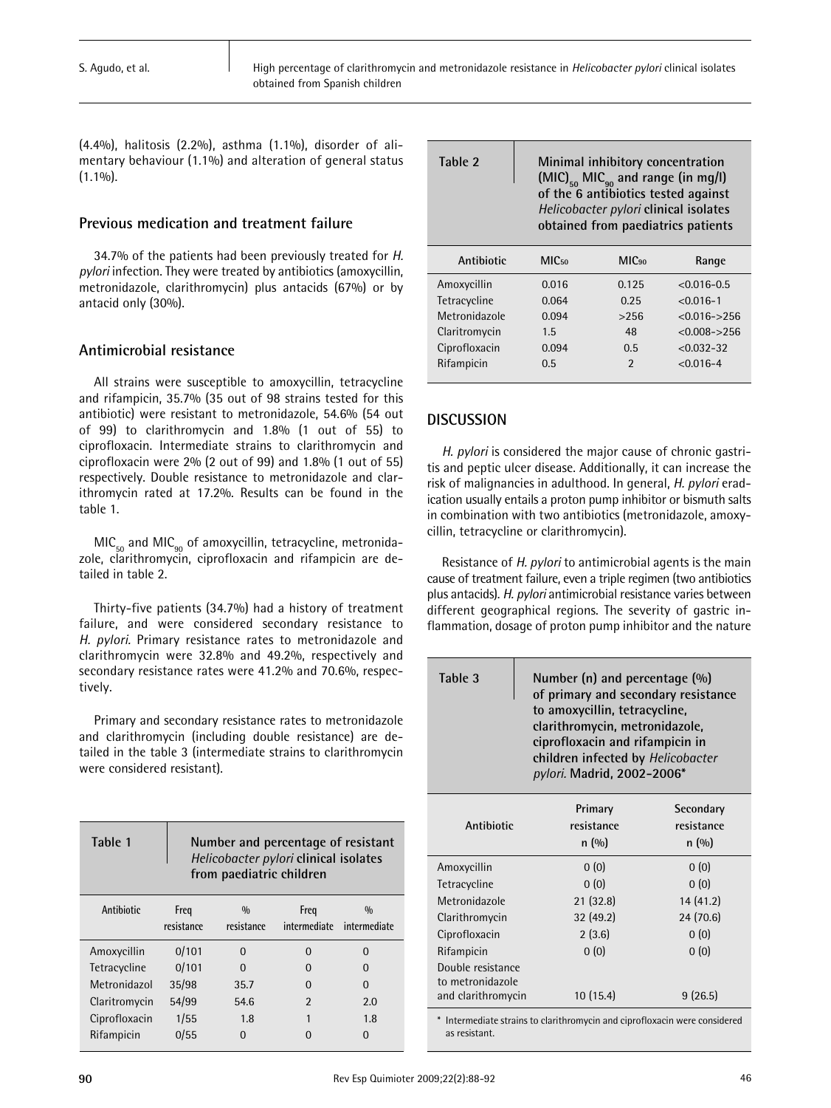(4.4%), halitosis (2.2%), asthma (1.1%), disorder of alimentary behaviour (1.1%) and alteration of general status  $(1.1\%)$ .

## **Previous medication and treatment failure**

34.7% of the patients had been previously treated for *H. pylori* infection. They were treated by antibiotics (amoxycillin, metronidazole, clarithromycin) plus antacids (67%) or by antacid only (30%).

# **Antimicrobial resistance**

All strains were susceptible to amoxycillin, tetracycline and rifampicin, 35.7% (35 out of 98 strains tested for this antibiotic) were resistant to metronidazole, 54.6% (54 out of 99) to clarithromycin and 1.8% (1 out of 55) to ciprofloxacin. Intermediate strains to clarithromycin and ciprofloxacin were 2% (2 out of 99) and 1.8% (1 out of 55) respectively. Double resistance to metronidazole and clarithromycin rated at 17.2%. Results can be found in the table 1.

 $MIC<sub>50</sub>$  and MIC<sub>90</sub> of amoxycillin, tetracycline, metronidazole, clarithromycin, ciprofloxacin and rifampicin are detailed in table 2.

Thirty-five patients (34.7%) had a history of treatment failure, and were considered secondary resistance to *H. pylori.* Primary resistance rates to metronidazole and clarithromycin were 32.8% and 49.2%, respectively and secondary resistance rates were 41.2% and 70.6%, respectively.

Primary and secondary resistance rates to metronidazole and clarithromycin (including double resistance) are detailed in the table 3 (intermediate strains to clarithromycin were considered resistant).

| Table 1       | Number and percentage of resistant<br>Helicobacter pylori clinical isolates<br>from paediatric children |                             |                      |                               |  |
|---------------|---------------------------------------------------------------------------------------------------------|-----------------------------|----------------------|-------------------------------|--|
| Antibiotic    | Freq<br>resistance                                                                                      | $\frac{0}{0}$<br>resistance | Freq<br>intermediate | $\frac{0}{0}$<br>intermediate |  |
| Amoxycillin   | 0/101                                                                                                   | U                           | O                    | n                             |  |
| Tetracycline  | 0/101                                                                                                   | ŋ                           | O                    | n                             |  |
| Metronidazol  | 35/98                                                                                                   | 35.7                        | O                    | $\Omega$                      |  |
| Claritromycin | 54/99                                                                                                   | 54.6                        | $\mathfrak z$        | 2.0                           |  |
| Ciprofloxacin | 1/55                                                                                                    | 1.8                         | 1                    | 1.8                           |  |
| Rifampicin    | 0/55                                                                                                    | U                           |                      | O                             |  |

**Table 2 Minimal inhibitory concentration**  $(MIC)_{50}$  MIC<sub>90</sub> and range (in mg/l) **of the 6 antibiotics tested against** *Helicobacter pylori* **clinical isolates obtained from paediatrics patients**

| Antibiotic    | MIC <sub>50</sub> | MIC <sub>90</sub> | Range           |
|---------------|-------------------|-------------------|-----------------|
| Amoxycillin   | 0.016             | 0.125             | $< 0.016 - 0.5$ |
| Tetracycline  | 0.064             | 0.25              | $< 0.016 - 1$   |
| Metronidazole | 0.094             | >256              | $< 0.016 - 256$ |
| Claritromycin | 1.5               | 48                | $< 0.008 - 256$ |
| Ciprofloxacin | 0.094             | 0.5               | $< 0.032 - 32$  |
| Rifampicin    | 0.5               | $\mathfrak z$     | $< 0.016 - 4$   |

# **DISCUSSION**

*H. pylori* is considered the major cause of chronic gastritis and peptic ulcer disease. Additionally, it can increase the risk of malignancies in adulthood. In general, *H. pylori* eradication usually entails a proton pump inhibitor or bismuth salts in combination with two antibiotics (metronidazole, amoxycillin, tetracycline or clarithromycin).

Resistance of *H. pylori* to antimicrobial agents is the main cause of treatment failure, even a triple regimen (two antibiotics plus antacids). *H. pylori* antimicrobial resistance varies between different geographical regions. The severity of gastric inflammation, dosage of proton pump inhibitor and the nature

| Table 3                                                     |                                 | Number (n) and percentage $(\%)$<br>of primary and secondary resistance<br>to amoxycillin, tetracycline,<br>clarithromycin, metronidazole,<br>ciprofloxacin and rifampicin in<br>children infected by Helicobacter<br>pylori. Madrid, 2002-2006* |  |  |  |
|-------------------------------------------------------------|---------------------------------|--------------------------------------------------------------------------------------------------------------------------------------------------------------------------------------------------------------------------------------------------|--|--|--|
| Antibiotic                                                  | Primary<br>resistance<br>n(0/0) | Secondary<br>resistance<br>n (%)                                                                                                                                                                                                                 |  |  |  |
| Amoxycillin                                                 | 0(0)                            | 0(0)                                                                                                                                                                                                                                             |  |  |  |
| Tetracycline                                                | 0(0)                            | 0(0)                                                                                                                                                                                                                                             |  |  |  |
| Metronidazole                                               | 21(32.8)                        | 14 (41.2)                                                                                                                                                                                                                                        |  |  |  |
| Clarithromycin                                              | 32(49.2)                        | 24 (70.6)                                                                                                                                                                                                                                        |  |  |  |
| Ciprofloxacin                                               | 2(3.6)                          | 0(0)                                                                                                                                                                                                                                             |  |  |  |
| Rifampicin                                                  | 0(0)                            | 0(0)                                                                                                                                                                                                                                             |  |  |  |
| Double resistance<br>to metronidazole<br>and clarithromycin | 10(15.4)                        | 9(26.5)                                                                                                                                                                                                                                          |  |  |  |

\* Intermediate strains to clarithromycin and ciprofloxacin were considered as resistant.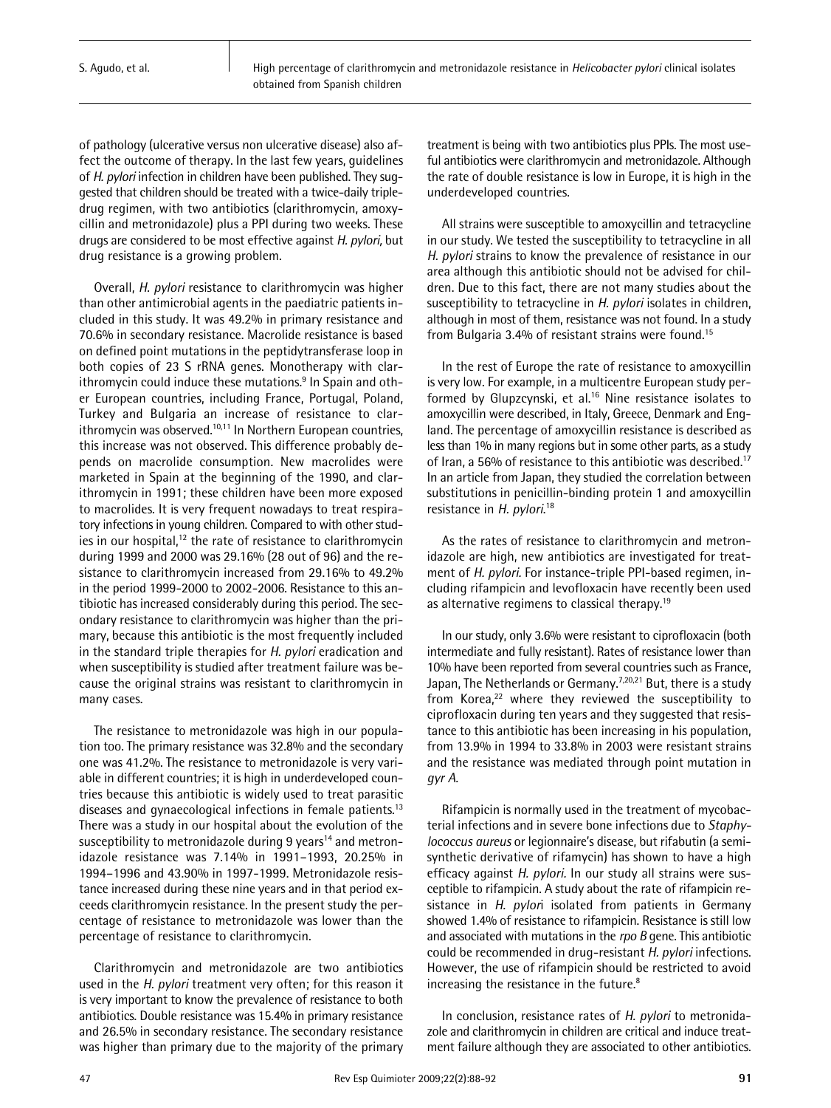of pathology (ulcerative versus non ulcerative disease) also affect the outcome of therapy. In the last few years, guidelines of *H. pylori* infection in children have been published. They suggested that children should be treated with a twice-daily tripledrug regimen, with two antibiotics (clarithromycin, amoxycillin and metronidazole) plus a PPI during two weeks. These drugs are considered to be most effective against *H. pylori,* but drug resistance is a growing problem.

Overall, *H. pylori* resistance to clarithromycin was higher than other antimicrobial agents in the paediatric patients included in this study. It was 49.2% in primary resistance and 70.6% in secondary resistance. Macrolide resistance is based on defined point mutations in the peptidytransferase loop in both copies of 23 S rRNA genes. Monotherapy with clarithromycin could induce these mutations. <sup>9</sup> In Spain and other European countries, including France, Portugal, Poland, Turkey and Bulgaria an increase of resistance to clarithromycin was observed.<sup>10,11</sup> In Northern European countries, this increase was not observed. This difference probably depends on macrolide consumption. New macrolides were marketed in Spain at the beginning of the 1990, and clarithromycin in 1991; these children have been more exposed to macrolides. It is very frequent nowadays to treat respiratory infections in young children. Compared to with other studies in our hospital,<sup>12</sup> the rate of resistance to clarithromycin during 1999 and 2000 was 29.16% (28 out of 96) and the resistance to clarithromycin increased from 29.16% to 49.2% in the period 1999-2000 to 2002-2006. Resistance to this antibiotic has increased considerably during this period. The secondary resistance to clarithromycin was higher than the primary, because this antibiotic is the most frequently included in the standard triple therapies for *H. pylori* eradication and when susceptibility is studied after treatment failure was because the original strains was resistant to clarithromycin in many cases.

The resistance to metronidazole was high in our population too. The primary resistance was 32.8% and the secondary one was 41.2%. The resistance to metronidazole is very variable in different countries; it is high in underdeveloped countries because this antibiotic is widely used to treat parasitic diseases and gynaecological infections in female patients.<sup>13</sup> There was a study in our hospital about the evolution of the susceptibility to metronidazole during 9 years<sup>14</sup> and metronidazole resistance was 7.14% in 1991–1993, 20.25% in 1994–1996 and 43.90% in 1997-1999. Metronidazole resistance increased during these nine years and in that period exceeds clarithromycin resistance. In the present study the percentage of resistance to metronidazole was lower than the percentage of resistance to clarithromycin.

Clarithromycin and metronidazole are two antibiotics used in the *H. pylori* treatment very often; for this reason it is very important to know the prevalence of resistance to both antibiotics. Double resistance was 15.4% in primary resistance and 26.5% in secondary resistance. The secondary resistance was higher than primary due to the majority of the primary

treatment is being with two antibiotics plus PPIs. The most useful antibiotics were clarithromycin and metronidazole. Although the rate of double resistance is low in Europe, it is high in the underdeveloped countries.

All strains were susceptible to amoxycillin and tetracycline in our study. We tested the susceptibility to tetracycline in all *H. pylori* strains to know the prevalence of resistance in our area although this antibiotic should not be advised for children. Due to this fact, there are not many studies about the susceptibility to tetracycline in *H. pylori* isolates in children, although in most of them, resistance was not found. In a study from Bulgaria 3.4% of resistant strains were found.<sup>15</sup>

In the rest of Europe the rate of resistance to amoxycillin is very low. For example, in a multicentre European study performed by Glupzcynski, et al. <sup>16</sup> Nine resistance isolates to amoxycillin were described, in Italy, Greece, Denmark and England. The percentage of amoxycillin resistance is described as less than 1% in many regions but in some other parts, as a study of Iran, a 56% of resistance to this antibiotic was described. 17 In an article from Japan, they studied the correlation between substitutions in penicillin-binding protein 1 and amoxycillin resistance in *H. pylori*. 18

As the rates of resistance to clarithromycin and metronidazole are high, new antibiotics are investigated for treatment of *H. pylori.* For instance-triple PPI-based regimen, including rifampicin and levofloxacin have recently been used as alternative regimens to classical therapy.<sup>19</sup>

In our study, only 3.6% were resistant to ciprofloxacin (both intermediate and fully resistant). Rates of resistance lower than 10% have been reported from several countries such as France, Japan, The Netherlands or Germany.<sup>7,20,21</sup> But, there is a study from Korea,<sup>22</sup> where they reviewed the susceptibility to ciprofloxacin during ten years and they suggested that resistance to this antibiotic has been increasing in his population, from 13.9% in 1994 to 33.8% in 2003 were resistant strains and the resistance was mediated through point mutation in *gyr A.*

Rifampicin is normally used in the treatment of mycobacterial infections and in severe bone infections due to *Staphylococcus aureus* or legionnaire's disease, but rifabutin (a semisynthetic derivative of rifamycin) has shown to have a high efficacy against *H. pylori.* In our study all strains were susceptible to rifampicin. A study about the rate of rifampicin resistance in *H. pylor*i isolated from patients in Germany showed 1.4% of resistance to rifampicin. Resistance is still low and associated with mutations in the *rpo B* gene. This antibiotic could be recommended in drug-resistant *H. pylori* infections. However, the use of rifampicin should be restricted to avoid increasing the resistance in the future.<sup>8</sup>

In conclusion, resistance rates of *H. pylori* to metronidazole and clarithromycin in children are critical and induce treatment failure although they are associated to other antibiotics.